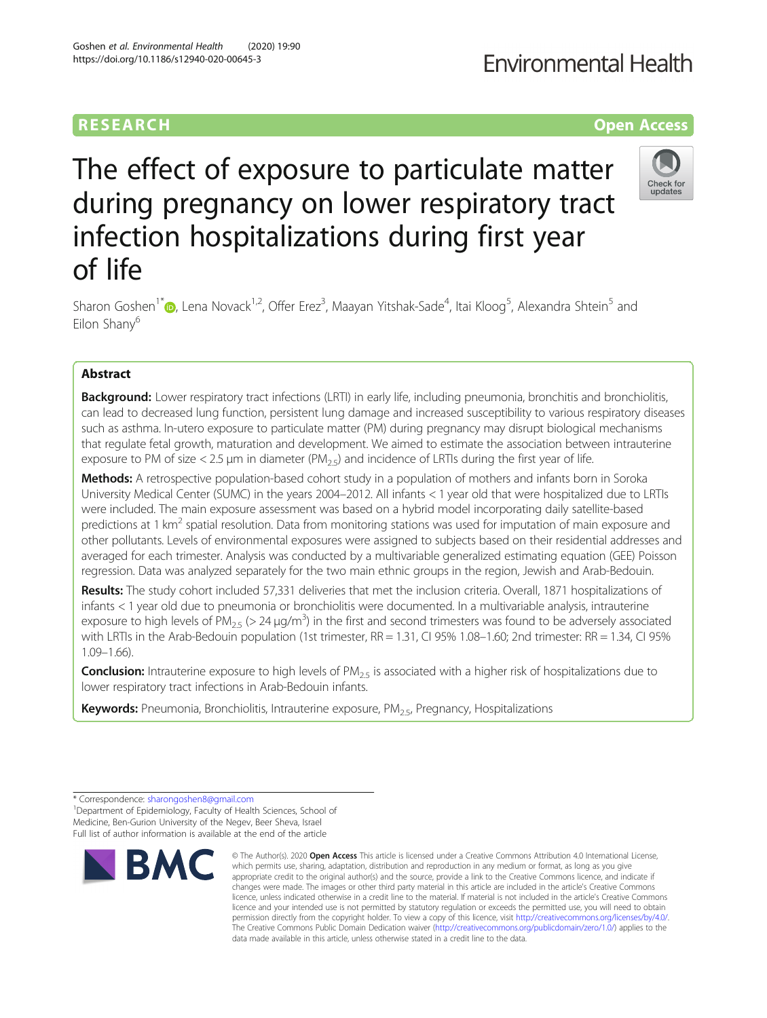### **RESEARCH CHE Open Access**

## **Environmental Health**

# The effect of exposure to particulate matter during pregnancy on lower respiratory tract infection hospitalizations during first year of life



Sharon Goshen<sup>1\*</sup>�[,](http://orcid.org/0000-0002-2697-7456) Lena Novack<sup>1,2</sup>, Offer Erez<sup>3</sup>, Maayan Yitshak-Sade<sup>4</sup>, Itai Kloog<sup>5</sup>, Alexandra Shtein<sup>5</sup> and Eilon Shany<sup>6</sup>

#### Abstract

**Background:** Lower respiratory tract infections (LRTI) in early life, including pneumonia, bronchitis and bronchiolitis, can lead to decreased lung function, persistent lung damage and increased susceptibility to various respiratory diseases such as asthma. In-utero exposure to particulate matter (PM) during pregnancy may disrupt biological mechanisms that regulate fetal growth, maturation and development. We aimed to estimate the association between intrauterine exposure to PM of size  $< 2.5$  µm in diameter (PM<sub>2.5</sub>) and incidence of LRTIs during the first year of life.

Methods: A retrospective population-based cohort study in a population of mothers and infants born in Soroka University Medical Center (SUMC) in the years 2004–2012. All infants < 1 year old that were hospitalized due to LRTIs were included. The main exposure assessment was based on a hybrid model incorporating daily satellite-based predictions at 1 km<sup>2</sup> spatial resolution. Data from monitoring stations was used for imputation of main exposure and other pollutants. Levels of environmental exposures were assigned to subjects based on their residential addresses and averaged for each trimester. Analysis was conducted by a multivariable generalized estimating equation (GEE) Poisson regression. Data was analyzed separately for the two main ethnic groups in the region, Jewish and Arab-Bedouin.

Results: The study cohort included 57,331 deliveries that met the inclusion criteria. Overall, 1871 hospitalizations of infants < 1 year old due to pneumonia or bronchiolitis were documented. In a multivariable analysis, intrauterine exposure to high levels of PM<sub>2.5</sub> (> 24 µg/m<sup>3</sup>) in the first and second trimesters was found to be adversely associated with LRTIs in the Arab-Bedouin population (1st trimester, RR = 1.31, CI 95% 1.08–1.60; 2nd trimester: RR = 1.34, CI 95% 1.09–1.66).

**Conclusion:** Intrauterine exposure to high levels of  $PM_{2.5}$  is associated with a higher risk of hospitalizations due to lower respiratory tract infections in Arab-Bedouin infants.

Keywords: Pneumonia, Bronchiolitis, Intrauterine exposure, PM<sub>25</sub>, Pregnancy, Hospitalizations

<sup>1</sup>Department of Epidemiology, Faculty of Health Sciences, School of Medicine, Ben-Gurion University of the Negev, Beer Sheva, Israel Full list of author information is available at the end of the article



<sup>©</sup> The Author(s), 2020 **Open Access** This article is licensed under a Creative Commons Attribution 4.0 International License, which permits use, sharing, adaptation, distribution and reproduction in any medium or format, as long as you give appropriate credit to the original author(s) and the source, provide a link to the Creative Commons licence, and indicate if changes were made. The images or other third party material in this article are included in the article's Creative Commons licence, unless indicated otherwise in a credit line to the material. If material is not included in the article's Creative Commons licence and your intended use is not permitted by statutory regulation or exceeds the permitted use, you will need to obtain permission directly from the copyright holder. To view a copy of this licence, visit [http://creativecommons.org/licenses/by/4.0/.](http://creativecommons.org/licenses/by/4.0/) The Creative Commons Public Domain Dedication waiver [\(http://creativecommons.org/publicdomain/zero/1.0/](http://creativecommons.org/publicdomain/zero/1.0/)) applies to the data made available in this article, unless otherwise stated in a credit line to the data.

<sup>\*</sup> Correspondence: [sharongoshen8@gmail.com](mailto:sharongoshen8@gmail.com) <sup>1</sup>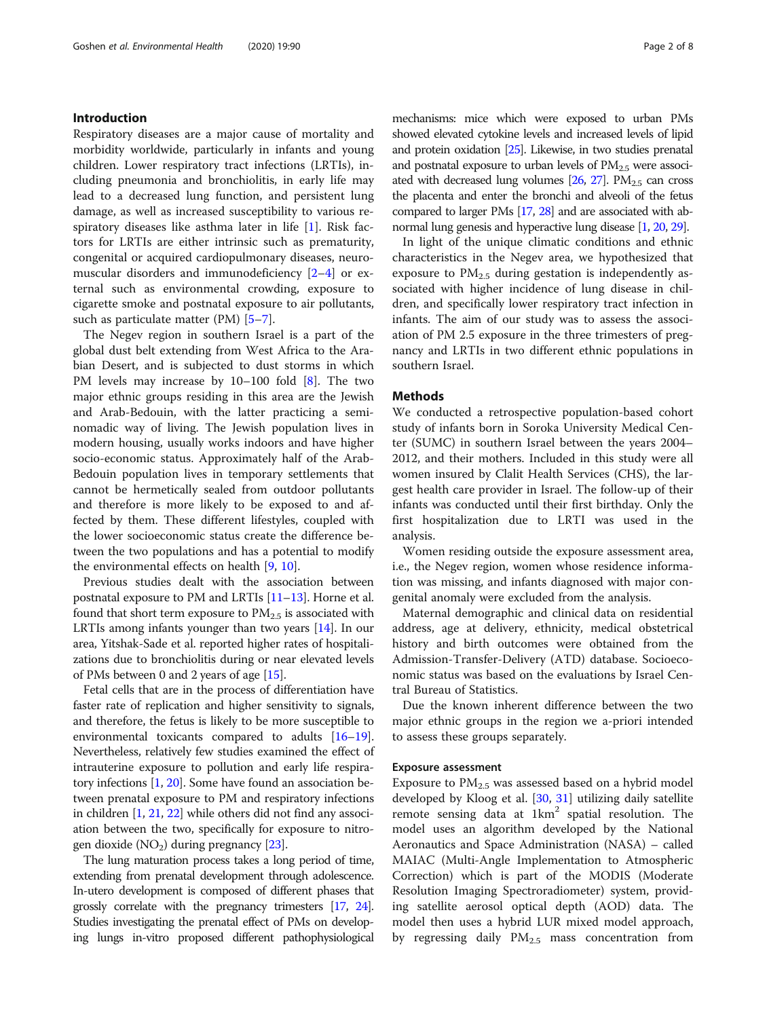#### Introduction

Respiratory diseases are a major cause of mortality and morbidity worldwide, particularly in infants and young children. Lower respiratory tract infections (LRTIs), including pneumonia and bronchiolitis, in early life may lead to a decreased lung function, and persistent lung damage, as well as increased susceptibility to various respiratory diseases like asthma later in life [\[1](#page-6-0)]. Risk factors for LRTIs are either intrinsic such as prematurity, congenital or acquired cardiopulmonary diseases, neuromuscular disorders and immunodeficiency [[2](#page-6-0)–[4\]](#page-6-0) or external such as environmental crowding, exposure to cigarette smoke and postnatal exposure to air pollutants, such as particulate matter (PM) [[5](#page-6-0)–[7\]](#page-6-0).

The Negev region in southern Israel is a part of the global dust belt extending from West Africa to the Arabian Desert, and is subjected to dust storms in which PM levels may increase by 10–100 fold [[8](#page-6-0)]. The two major ethnic groups residing in this area are the Jewish and Arab-Bedouin, with the latter practicing a seminomadic way of living. The Jewish population lives in modern housing, usually works indoors and have higher socio-economic status. Approximately half of the Arab-Bedouin population lives in temporary settlements that cannot be hermetically sealed from outdoor pollutants and therefore is more likely to be exposed to and affected by them. These different lifestyles, coupled with the lower socioeconomic status create the difference between the two populations and has a potential to modify the environmental effects on health [\[9](#page-6-0), [10](#page-7-0)].

Previous studies dealt with the association between postnatal exposure to PM and LRTIs [\[11](#page-7-0)–[13](#page-7-0)]. Horne et al. found that short term exposure to  $PM<sub>2.5</sub>$  is associated with LRTIs among infants younger than two years [[14](#page-7-0)]. In our area, Yitshak-Sade et al. reported higher rates of hospitalizations due to bronchiolitis during or near elevated levels of PMs between 0 and 2 years of age [[15](#page-7-0)].

Fetal cells that are in the process of differentiation have faster rate of replication and higher sensitivity to signals, and therefore, the fetus is likely to be more susceptible to environmental toxicants compared to adults [\[16](#page-7-0)–[19](#page-7-0)]. Nevertheless, relatively few studies examined the effect of intrauterine exposure to pollution and early life respiratory infections [[1,](#page-6-0) [20](#page-7-0)]. Some have found an association between prenatal exposure to PM and respiratory infections in children [[1,](#page-6-0) [21](#page-7-0), [22](#page-7-0)] while others did not find any association between the two, specifically for exposure to nitrogen dioxide  $(NO<sub>2</sub>)$  during pregnancy [[23](#page-7-0)].

The lung maturation process takes a long period of time, extending from prenatal development through adolescence. In-utero development is composed of different phases that grossly correlate with the pregnancy trimesters [\[17,](#page-7-0) [24\]](#page-7-0). Studies investigating the prenatal effect of PMs on developing lungs in-vitro proposed different pathophysiological mechanisms: mice which were exposed to urban PMs showed elevated cytokine levels and increased levels of lipid and protein oxidation [\[25\]](#page-7-0). Likewise, in two studies prenatal and postnatal exposure to urban levels of  $PM_{2.5}$  were associated with decreased lung volumes  $[26, 27]$  $[26, 27]$  $[26, 27]$  $[26, 27]$ . PM<sub>2.5</sub> can cross the placenta and enter the bronchi and alveoli of the fetus compared to larger PMs [[17,](#page-7-0) [28\]](#page-7-0) and are associated with abnormal lung genesis and hyperactive lung disease [\[1,](#page-6-0) [20,](#page-7-0) [29](#page-7-0)].

In light of the unique climatic conditions and ethnic characteristics in the Negev area, we hypothesized that exposure to  $PM<sub>2.5</sub>$  during gestation is independently associated with higher incidence of lung disease in children, and specifically lower respiratory tract infection in infants. The aim of our study was to assess the association of PM 2.5 exposure in the three trimesters of pregnancy and LRTIs in two different ethnic populations in southern Israel.

#### Methods

We conducted a retrospective population-based cohort study of infants born in Soroka University Medical Center (SUMC) in southern Israel between the years 2004– 2012, and their mothers. Included in this study were all women insured by Clalit Health Services (CHS), the largest health care provider in Israel. The follow-up of their infants was conducted until their first birthday. Only the first hospitalization due to LRTI was used in the analysis.

Women residing outside the exposure assessment area, i.e., the Negev region, women whose residence information was missing, and infants diagnosed with major congenital anomaly were excluded from the analysis.

Maternal demographic and clinical data on residential address, age at delivery, ethnicity, medical obstetrical history and birth outcomes were obtained from the Admission-Transfer-Delivery (ATD) database. Socioeconomic status was based on the evaluations by Israel Central Bureau of Statistics.

Due the known inherent difference between the two major ethnic groups in the region we a-priori intended to assess these groups separately.

#### Exposure assessment

Exposure to  $PM_{2.5}$  was assessed based on a hybrid model developed by Kloog et al. [\[30](#page-7-0), [31\]](#page-7-0) utilizing daily satellite remote sensing data at  $1 \text{km}^2$  spatial resolution. The model uses an algorithm developed by the National Aeronautics and Space Administration (NASA) – called MAIAC (Multi-Angle Implementation to Atmospheric Correction) which is part of the MODIS (Moderate Resolution Imaging Spectroradiometer) system, providing satellite aerosol optical depth (AOD) data. The model then uses a hybrid LUR mixed model approach, by regressing daily  $PM_{2.5}$  mass concentration from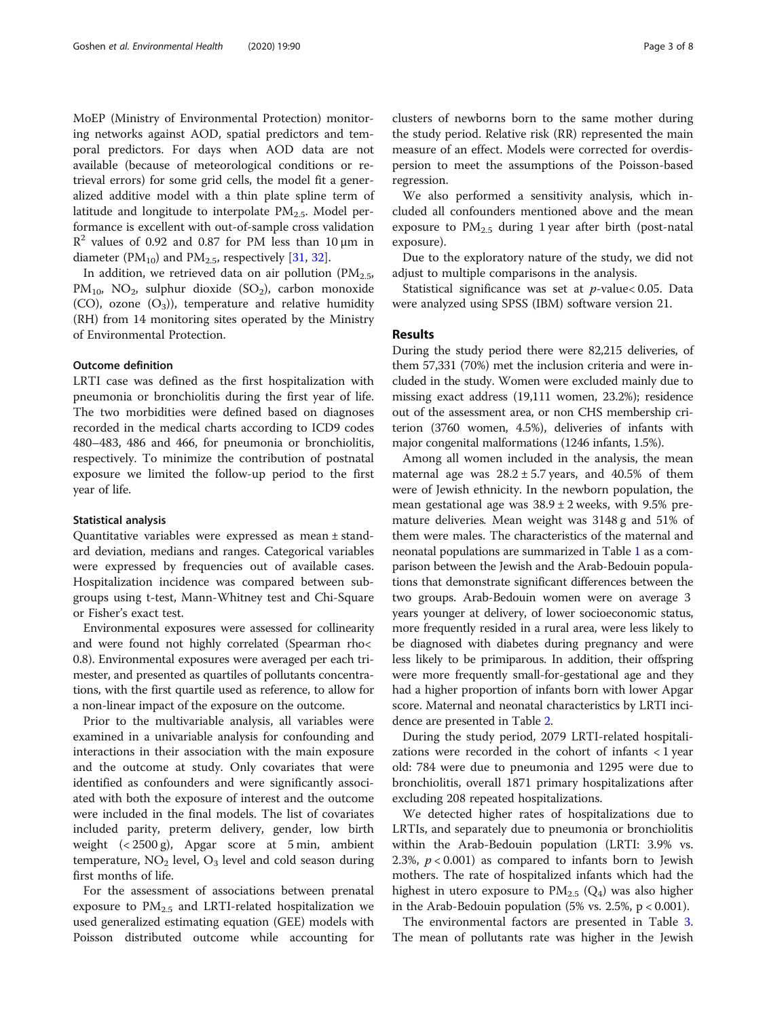MoEP (Ministry of Environmental Protection) monitoring networks against AOD, spatial predictors and temporal predictors. For days when AOD data are not available (because of meteorological conditions or retrieval errors) for some grid cells, the model fit a generalized additive model with a thin plate spline term of latitude and longitude to interpolate  $PM<sub>2.5</sub>$ . Model performance is excellent with out-of-sample cross validation  $R<sup>2</sup>$  values of 0.92 and 0.87 for PM less than 10 μm in diameter ( $PM_{10}$ ) and  $PM_{2.5}$ , respectively [\[31,](#page-7-0) [32\]](#page-7-0).

In addition, we retrieved data on air pollution ( $PM_{2.5}$ ,  $PM_{10}$ , NO<sub>2</sub>, sulphur dioxide (SO<sub>2</sub>), carbon monoxide  $(CO)$ , ozone  $(O_3)$ , temperature and relative humidity (RH) from 14 monitoring sites operated by the Ministry of Environmental Protection.

#### Outcome definition

LRTI case was defined as the first hospitalization with pneumonia or bronchiolitis during the first year of life. The two morbidities were defined based on diagnoses recorded in the medical charts according to ICD9 codes 480–483, 486 and 466, for pneumonia or bronchiolitis, respectively. To minimize the contribution of postnatal exposure we limited the follow-up period to the first year of life.

#### Statistical analysis

Quantitative variables were expressed as mean ± standard deviation, medians and ranges. Categorical variables were expressed by frequencies out of available cases. Hospitalization incidence was compared between subgroups using t-test, Mann-Whitney test and Chi-Square or Fisher's exact test.

Environmental exposures were assessed for collinearity and were found not highly correlated (Spearman rho< 0.8). Environmental exposures were averaged per each trimester, and presented as quartiles of pollutants concentrations, with the first quartile used as reference, to allow for a non-linear impact of the exposure on the outcome.

Prior to the multivariable analysis, all variables were examined in a univariable analysis for confounding and interactions in their association with the main exposure and the outcome at study. Only covariates that were identified as confounders and were significantly associated with both the exposure of interest and the outcome were included in the final models. The list of covariates included parity, preterm delivery, gender, low birth weight (< 2500 g), Apgar score at 5 min, ambient temperature,  $NO<sub>2</sub>$  level,  $O<sub>3</sub>$  level and cold season during first months of life.

For the assessment of associations between prenatal exposure to  $PM_{2.5}$  and LRTI-related hospitalization we used generalized estimating equation (GEE) models with Poisson distributed outcome while accounting for

clusters of newborns born to the same mother during the study period. Relative risk (RR) represented the main measure of an effect. Models were corrected for overdispersion to meet the assumptions of the Poisson-based regression.

We also performed a sensitivity analysis, which included all confounders mentioned above and the mean exposure to  $PM_{2.5}$  during 1 year after birth (post-natal exposure).

Due to the exploratory nature of the study, we did not adjust to multiple comparisons in the analysis.

Statistical significance was set at  $p$ -value< 0.05. Data were analyzed using SPSS (IBM) software version 21.

#### Results

During the study period there were 82,215 deliveries, of them 57,331 (70%) met the inclusion criteria and were included in the study. Women were excluded mainly due to missing exact address (19,111 women, 23.2%); residence out of the assessment area, or non CHS membership criterion (3760 women, 4.5%), deliveries of infants with major congenital malformations (1246 infants, 1.5%).

Among all women included in the analysis, the mean maternal age was  $28.2 \pm 5.7$  years, and 40.5% of them were of Jewish ethnicity. In the newborn population, the mean gestational age was  $38.9 \pm 2$  weeks, with 9.5% premature deliveries. Mean weight was 3148 g and 51% of them were males. The characteristics of the maternal and neonatal populations are summarized in Table [1](#page-3-0) as a comparison between the Jewish and the Arab-Bedouin populations that demonstrate significant differences between the two groups. Arab-Bedouin women were on average 3 years younger at delivery, of lower socioeconomic status, more frequently resided in a rural area, were less likely to be diagnosed with diabetes during pregnancy and were less likely to be primiparous. In addition, their offspring were more frequently small-for-gestational age and they had a higher proportion of infants born with lower Apgar score. Maternal and neonatal characteristics by LRTI incidence are presented in Table [2.](#page-4-0)

During the study period, 2079 LRTI-related hospitalizations were recorded in the cohort of infants < 1 year old: 784 were due to pneumonia and 1295 were due to bronchiolitis, overall 1871 primary hospitalizations after excluding 208 repeated hospitalizations.

We detected higher rates of hospitalizations due to LRTIs, and separately due to pneumonia or bronchiolitis within the Arab-Bedouin population (LRTI: 3.9% vs. 2.3%,  $p < 0.001$ ) as compared to infants born to Jewish mothers. The rate of hospitalized infants which had the highest in utero exposure to  $PM_{2.5}$  ( $Q_4$ ) was also higher in the Arab-Bedouin population  $(5\% \text{ vs. } 2.5\%, \text{ p} < 0.001)$ .

The environmental factors are presented in Table [3](#page-4-0). The mean of pollutants rate was higher in the Jewish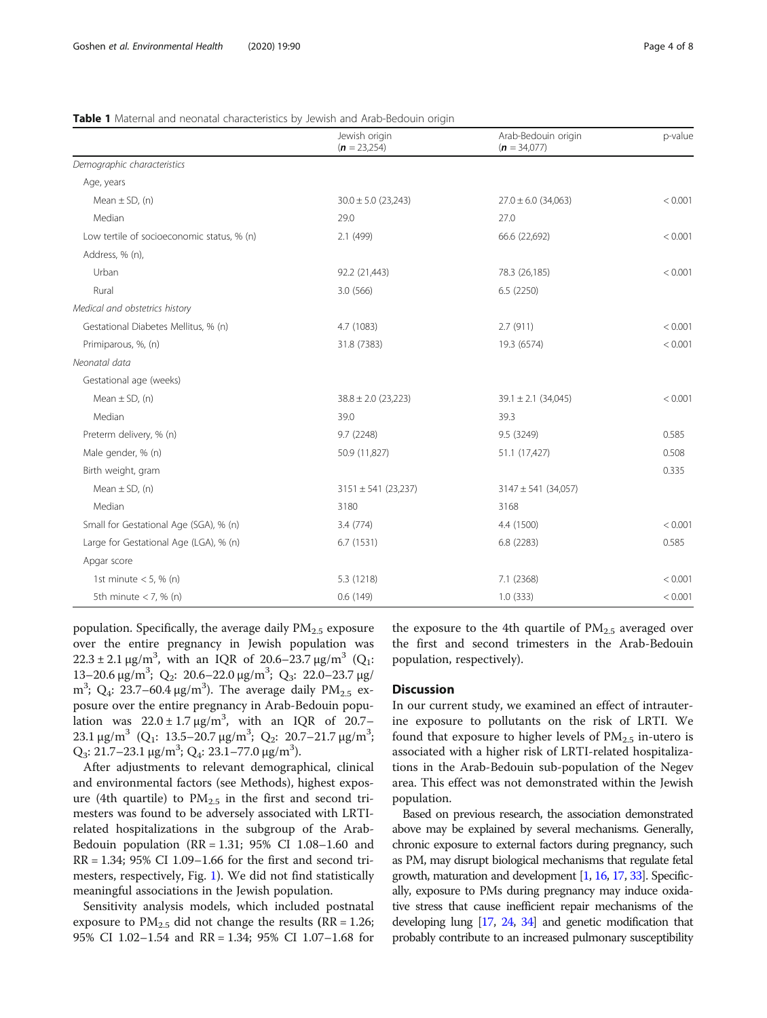|                                            | Jewish origin<br>$(n = 23,254)$ | Arab-Bedouin origin<br>$(n = 34,077)$ | p-value |
|--------------------------------------------|---------------------------------|---------------------------------------|---------|
| Demographic characteristics                |                                 |                                       |         |
| Age, years                                 |                                 |                                       |         |
| Mean $\pm$ SD, (n)                         | $30.0 \pm 5.0$ (23,243)         | $27.0 \pm 6.0$ (34,063)               | < 0.001 |
| Median                                     | 29.0                            | 27.0                                  |         |
| Low tertile of socioeconomic status, % (n) | 2.1 (499)                       | 66.6 (22,692)                         | < 0.001 |
| Address, % (n),                            |                                 |                                       |         |
| Urban                                      | 92.2 (21,443)                   | 78.3 (26,185)                         | < 0.001 |
| Rural                                      | 3.0(566)                        | 6.5(2250)                             |         |
| Medical and obstetrics history             |                                 |                                       |         |
| Gestational Diabetes Mellitus, % (n)       | 4.7 (1083)                      | 2.7(911)                              | < 0.001 |
| Primiparous, %, (n)                        | 31.8 (7383)<br>19.3 (6574)      |                                       | < 0.001 |
| Neonatal data                              |                                 |                                       |         |
| Gestational age (weeks)                    |                                 |                                       |         |
| Mean $\pm$ SD, (n)                         | $38.8 \pm 2.0$ (23,223)         | $39.1 \pm 2.1$ (34,045)               | < 0.001 |
| Median                                     | 39.0                            | 39.3                                  |         |
| Preterm delivery, % (n)                    | 9.7 (2248)                      | 9.5 (3249)                            | 0.585   |
| Male gender, % (n)                         | 50.9 (11,827)                   | 51.1 (17,427)                         | 0.508   |
| Birth weight, gram                         |                                 |                                       | 0.335   |
| Mean $\pm$ SD, (n)                         | $3151 \pm 541$ (23,237)         | $3147 \pm 541$ (34,057)               |         |
| Median                                     | 3180                            | 3168                                  |         |
| Small for Gestational Age (SGA), % (n)     | 3.4(774)                        | 4.4 (1500)                            | < 0.001 |
| Large for Gestational Age (LGA), % (n)     | 6.7(1531)                       | 6.8(2283)                             | 0.585   |
| Apgar score                                |                                 |                                       |         |
| 1st minute $<$ 5, % (n)                    | 5.3 (1218)                      | 7.1(2368)                             | < 0.001 |
| 5th minute $<$ 7, % (n)                    | 0.6(149)                        | 1.0(333)                              | < 0.001 |

#### <span id="page-3-0"></span>Table 1 Maternal and neonatal characteristics by Jewish and Arab-Bedouin origin

population. Specifically, the average daily  $PM<sub>2.5</sub>$  exposure over the entire pregnancy in Jewish population was  $22.3 \pm 2.1 \,\mu$ g/m<sup>3</sup>, with an IQR of 20.6–23.7  $\mu$ g/m<sup>3</sup> (Q<sub>1</sub>: 13-20.6 μg/m<sup>3</sup>; Q<sub>2</sub>: 20.6-22.0 μg/m<sup>3</sup>; Q<sub>3</sub>: 22.0-23.7 μg/ m<sup>3</sup>; Q<sub>4</sub>: 23.7–60.4 μg/m<sup>3</sup>). The average daily PM<sub>2.5</sub> exposure over the entire pregnancy in Arab-Bedouin population was  $22.0 \pm 1.7 \,\mathrm{\upmu g/m^3}$ , with an IQR of 20.7– 23.1 μg/m<sup>3</sup> (Q<sub>1</sub>: 13.5–20.7 μg/m<sup>3</sup>; Q<sub>2</sub>: 20.7–21.7 μg/m<sup>3</sup>;  $Q_3$ : 21.7–23.1 μg/m<sup>3</sup>;  $Q_4$ : 23.1–77.0 μg/m<sup>3</sup>).

After adjustments to relevant demographical, clinical and environmental factors (see Methods), highest exposure (4th quartile) to  $PM_{2.5}$  in the first and second trimesters was found to be adversely associated with LRTIrelated hospitalizations in the subgroup of the Arab-Bedouin population ( $RR = 1.31$ ; 95% CI 1.08–1.60 and  $RR = 1.34$ ; 95% CI 1.09–1.66 for the first and second trimesters, respectively, Fig. [1](#page-5-0)). We did not find statistically meaningful associations in the Jewish population.

Sensitivity analysis models, which included postnatal exposure to  $PM_{2.5}$  did not change the results (RR = 1.26; 95% CI 1.02–1.54 and RR = 1.34; 95% CI 1.07–1.68 for the exposure to the 4th quartile of  $PM_{2.5}$  averaged over the first and second trimesters in the Arab-Bedouin population, respectively).

#### **Discussion**

In our current study, we examined an effect of intrauterine exposure to pollutants on the risk of LRTI. We found that exposure to higher levels of  $PM_{2.5}$  in-utero is associated with a higher risk of LRTI-related hospitalizations in the Arab-Bedouin sub-population of the Negev area. This effect was not demonstrated within the Jewish population.

Based on previous research, the association demonstrated above may be explained by several mechanisms. Generally, chronic exposure to external factors during pregnancy, such as PM, may disrupt biological mechanisms that regulate fetal growth, maturation and development [\[1,](#page-6-0) [16](#page-7-0), [17,](#page-7-0) [33\]](#page-7-0). Specifically, exposure to PMs during pregnancy may induce oxidative stress that cause inefficient repair mechanisms of the developing lung [\[17](#page-7-0), [24,](#page-7-0) [34](#page-7-0)] and genetic modification that probably contribute to an increased pulmonary susceptibility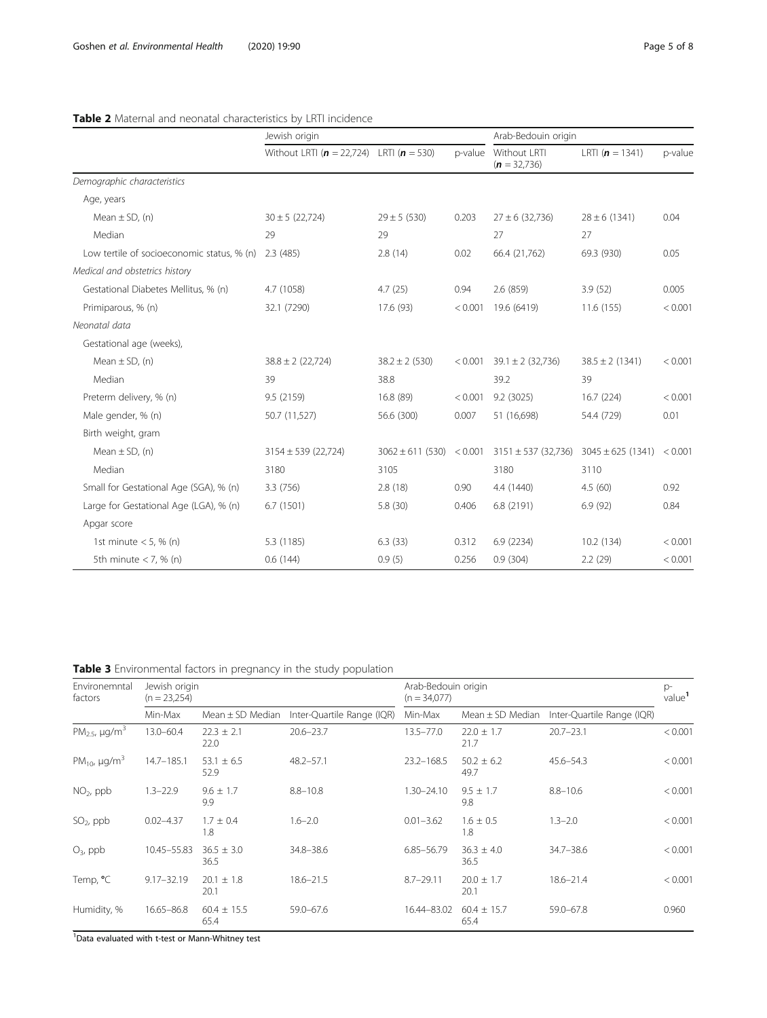#### <span id="page-4-0"></span>Table 2 Maternal and neonatal characteristics by LRTI incidence

|                                                      | Jewish origin                                    |                              |         | Arab-Bedouin origin            |                       |         |
|------------------------------------------------------|--------------------------------------------------|------------------------------|---------|--------------------------------|-----------------------|---------|
|                                                      | Without LRTI ( $n = 22,724$ ) LRTI ( $n = 530$ ) |                              | p-value | Without LRTI<br>$(n = 32,736)$ | LRTI $(n = 1341)$     | p-value |
| Demographic characteristics                          |                                                  |                              |         |                                |                       |         |
| Age, years                                           |                                                  |                              |         |                                |                       |         |
| Mean $\pm$ SD, (n)                                   | $30 \pm 5 (22,724)$                              | $29 \pm 5 (530)$             | 0.203   | $27 \pm 6$ (32,736)            | $28 \pm 6$ (1341)     | 0.04    |
| Median                                               | 29                                               | 29                           |         | 27                             | 27                    |         |
| Low tertile of socioeconomic status, % (n) 2.3 (485) |                                                  | 2.8(14)                      | 0.02    | 66.4 (21,762)                  | 69.3 (930)            | 0.05    |
| Medical and obstetrics history                       |                                                  |                              |         |                                |                       |         |
| Gestational Diabetes Mellitus, % (n)                 | 4.7 (1058)                                       | 4.7(25)                      | 0.94    | 2.6 (859)                      | 3.9(52)               | 0.005   |
| Primiparous, % (n)                                   | 32.1 (7290)                                      | 17.6 (93)                    | < 0.001 | 19.6 (6419)                    | 11.6 (155)            | < 0.001 |
| Neonatal data                                        |                                                  |                              |         |                                |                       |         |
| Gestational age (weeks),                             |                                                  |                              |         |                                |                       |         |
| Mean $\pm$ SD, (n)                                   | $38.8 \pm 2(22,724)$                             | $38.2 \pm 2(530)$            | < 0.001 | $39.1 \pm 2 (32,736)$          | $38.5 \pm 2(1341)$    | < 0.001 |
| Median                                               | 39                                               | 38.8                         |         | 39.2                           | 39                    |         |
| Preterm delivery, % (n)                              | 9.5 (2159)                                       | 16.8 (89)                    | < 0.001 | 9.2(3025)                      | 16.7 (224)            | < 0.001 |
| Male gender, % (n)                                   | 50.7 (11,527)                                    | 56.6 (300)                   | 0.007   | 51 (16,698)                    | 54.4 (729)            | 0.01    |
| Birth weight, gram                                   |                                                  |                              |         |                                |                       |         |
| Mean $\pm$ SD, (n)                                   | $3154 \pm 539$ (22,724)                          | $3062 \pm 611 (530) < 0.001$ |         | $3151 \pm 537$ (32,736)        | $3045 \pm 625$ (1341) | < 0.001 |
| Median                                               | 3180                                             | 3105                         |         | 3180                           | 3110                  |         |
| Small for Gestational Age (SGA), % (n)               | 3.3 (756)                                        | 2.8(18)                      | 0.90    | 4.4 (1440)                     | 4.5(60)               | 0.92    |
| Large for Gestational Age (LGA), % (n)               | 6.7(1501)                                        | 5.8 (30)                     | 0.406   | 6.8 (2191)                     | 6.9(92)               | 0.84    |
| Apgar score                                          |                                                  |                              |         |                                |                       |         |
| 1st minute $<$ 5, % (n)                              | 5.3 (1185)                                       | 6.3(33)                      | 0.312   | 6.9 (2234)                     | 10.2 (134)            | < 0.001 |
| 5th minute $<$ 7, % (n)                              | 0.6(144)                                         | 0.9(5)                       | 0.256   | 0.9(304)                       | 2.2(29)               | < 0.001 |

Table 3 Environmental factors in pregnancy in the study population

| Environemntal<br>factors                   | Jewish origin<br>$(n = 23,254)$ |                         |                            | Arab-Bedouin origin<br>$(n = 34.077)$ |                         |                            | $D^-$<br>value <sup>1</sup> |
|--------------------------------------------|---------------------------------|-------------------------|----------------------------|---------------------------------------|-------------------------|----------------------------|-----------------------------|
|                                            | Min-Max                         | Mean $\pm$ SD Median    | Inter-Quartile Range (IQR) | Min-Max                               | Mean $\pm$ SD Median    | Inter-Quartile Range (IQR) |                             |
| PM <sub>2.5</sub> , $\mu$ g/m <sup>3</sup> | $13.0 - 60.4$                   | $22.3 \pm 2.1$<br>22.0  | $20.6 - 23.7$              | $13.5 - 77.0$                         | $22.0 \pm 1.7$<br>21.7  | $20.7 - 23.1$              | < 0.001                     |
| PM <sub>10</sub> , $\mu$ g/m <sup>3</sup>  | 14.7-185.1                      | $53.1 \pm 6.5$<br>52.9  | $48.2 - 57.1$              | $23.2 - 168.5$                        | $50.2 \pm 6.2$<br>49.7  | $45.6 - 54.3$              | < 0.001                     |
| $NO2$ , ppb                                | $1.3 - 22.9$                    | $9.6 \pm 1.7$<br>9.9    | $8.8 - 10.8$               | $1.30 - 24.10$                        | $9.5 \pm 1.7$<br>9.8    | $8.8 - 10.6$               | < 0.001                     |
| $SO2$ , ppb                                | $0.02 - 4.37$                   | $1.7 \pm 0.4$<br>1.8    | $1.6 - 2.0$                | $0.01 - 3.62$                         | $1.6 \pm 0.5$<br>1.8    | $1.3 - 2.0$                | < 0.001                     |
| $O_3$ , ppb                                | 10.45-55.83                     | $36.5 \pm 3.0$<br>36.5  | 34.8-38.6                  | $6.85 - 56.79$                        | $36.3 \pm 4.0$<br>36.5  | $34.7 - 38.6$              | < 0.001                     |
| Temp, °C                                   | $9.17 - 32.19$                  | $20.1 \pm 1.8$<br>20.1  | $18.6 - 21.5$              | $8.7 - 29.11$                         | $20.0 \pm 1.7$<br>20.1  | $18.6 - 21.4$              | < 0.001                     |
| Humidity, %                                | 16.65-86.8                      | $60.4 \pm 15.5$<br>65.4 | 59.0-67.6                  | 16.44-83.02                           | $60.4 \pm 15.7$<br>65.4 | 59.0-67.8                  | 0.960                       |

<sup>1</sup>Data evaluated with t-test or Mann-Whitney test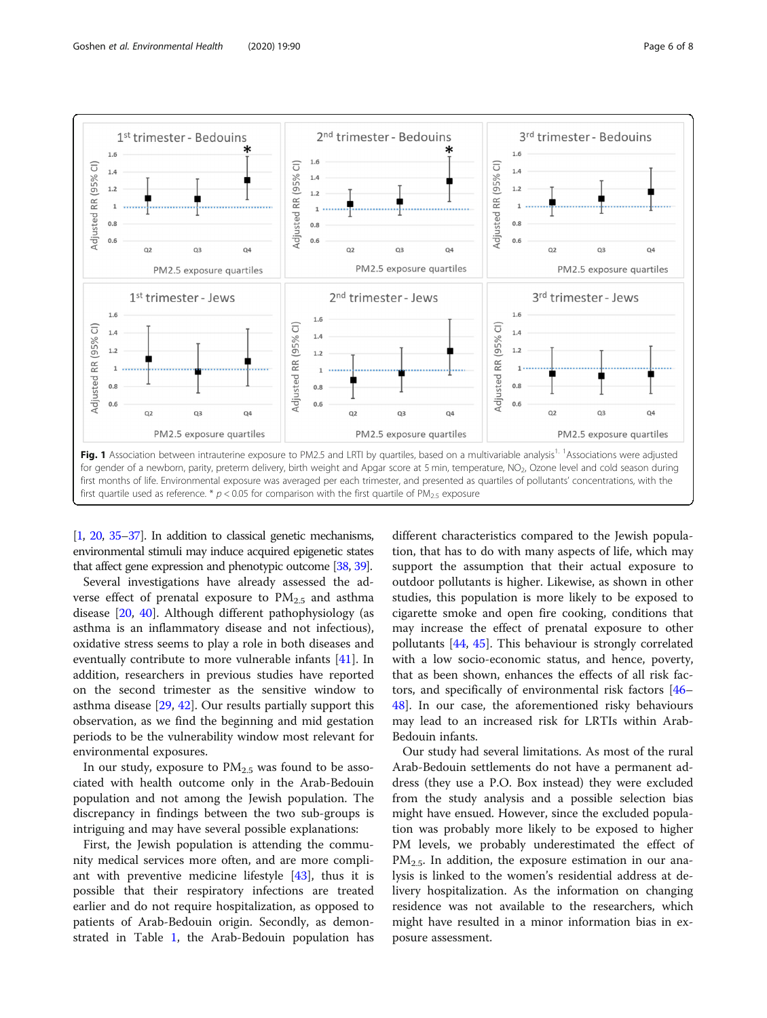<span id="page-5-0"></span>

[[1](#page-6-0), [20](#page-7-0), [35](#page-7-0)–[37\]](#page-7-0). In addition to classical genetic mechanisms, environmental stimuli may induce acquired epigenetic states that affect gene expression and phenotypic outcome [\[38,](#page-7-0) [39](#page-7-0)].

Several investigations have already assessed the adverse effect of prenatal exposure to  $PM_{2.5}$  and asthma disease [\[20](#page-7-0), [40](#page-7-0)]. Although different pathophysiology (as asthma is an inflammatory disease and not infectious), oxidative stress seems to play a role in both diseases and eventually contribute to more vulnerable infants [\[41](#page-7-0)]. In addition, researchers in previous studies have reported on the second trimester as the sensitive window to asthma disease [\[29](#page-7-0), [42](#page-7-0)]. Our results partially support this observation, as we find the beginning and mid gestation periods to be the vulnerability window most relevant for environmental exposures.

In our study, exposure to  $PM_{2.5}$  was found to be associated with health outcome only in the Arab-Bedouin population and not among the Jewish population. The discrepancy in findings between the two sub-groups is intriguing and may have several possible explanations:

First, the Jewish population is attending the community medical services more often, and are more compliant with preventive medicine lifestyle [[43\]](#page-7-0), thus it is possible that their respiratory infections are treated earlier and do not require hospitalization, as opposed to patients of Arab-Bedouin origin. Secondly, as demonstrated in Table [1,](#page-3-0) the Arab-Bedouin population has

different characteristics compared to the Jewish population, that has to do with many aspects of life, which may support the assumption that their actual exposure to outdoor pollutants is higher. Likewise, as shown in other studies, this population is more likely to be exposed to cigarette smoke and open fire cooking, conditions that may increase the effect of prenatal exposure to other pollutants [\[44,](#page-7-0) [45](#page-7-0)]. This behaviour is strongly correlated with a low socio-economic status, and hence, poverty, that as been shown, enhances the effects of all risk factors, and specifically of environmental risk factors [[46](#page-7-0)– [48\]](#page-7-0). In our case, the aforementioned risky behaviours may lead to an increased risk for LRTIs within Arab-Bedouin infants.

Our study had several limitations. As most of the rural Arab-Bedouin settlements do not have a permanent address (they use a P.O. Box instead) they were excluded from the study analysis and a possible selection bias might have ensued. However, since the excluded population was probably more likely to be exposed to higher PM levels, we probably underestimated the effect of  $PM_{2.5}$ . In addition, the exposure estimation in our analysis is linked to the women's residential address at delivery hospitalization. As the information on changing residence was not available to the researchers, which might have resulted in a minor information bias in exposure assessment.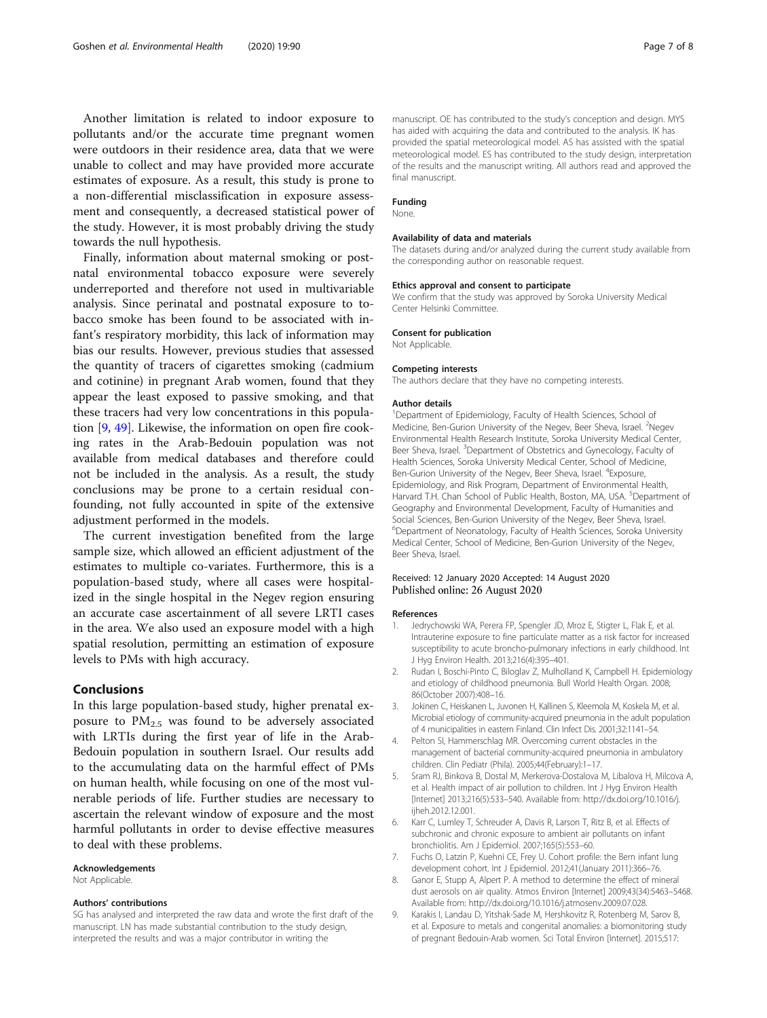<span id="page-6-0"></span>Another limitation is related to indoor exposure to pollutants and/or the accurate time pregnant women were outdoors in their residence area, data that we were unable to collect and may have provided more accurate estimates of exposure. As a result, this study is prone to a non-differential misclassification in exposure assessment and consequently, a decreased statistical power of the study. However, it is most probably driving the study towards the null hypothesis.

Finally, information about maternal smoking or postnatal environmental tobacco exposure were severely underreported and therefore not used in multivariable analysis. Since perinatal and postnatal exposure to tobacco smoke has been found to be associated with infant's respiratory morbidity, this lack of information may bias our results. However, previous studies that assessed the quantity of tracers of cigarettes smoking (cadmium and cotinine) in pregnant Arab women, found that they appear the least exposed to passive smoking, and that these tracers had very low concentrations in this population [9, [49\]](#page-7-0). Likewise, the information on open fire cooking rates in the Arab-Bedouin population was not available from medical databases and therefore could not be included in the analysis. As a result, the study conclusions may be prone to a certain residual confounding, not fully accounted in spite of the extensive adjustment performed in the models.

The current investigation benefited from the large sample size, which allowed an efficient adjustment of the estimates to multiple co-variates. Furthermore, this is a population-based study, where all cases were hospitalized in the single hospital in the Negev region ensuring an accurate case ascertainment of all severe LRTI cases in the area. We also used an exposure model with a high spatial resolution, permitting an estimation of exposure levels to PMs with high accuracy.

#### Conclusions

In this large population-based study, higher prenatal exposure to  $PM_{2.5}$  was found to be adversely associated with LRTIs during the first year of life in the Arab-Bedouin population in southern Israel. Our results add to the accumulating data on the harmful effect of PMs on human health, while focusing on one of the most vulnerable periods of life. Further studies are necessary to ascertain the relevant window of exposure and the most harmful pollutants in order to devise effective measures to deal with these problems.

#### Acknowledgements

Not Applicable.

#### Authors' contributions

SG has analysed and interpreted the raw data and wrote the first draft of the manuscript. LN has made substantial contribution to the study design, interpreted the results and was a major contributor in writing the

manuscript. OE has contributed to the study's conception and design. MYS has aided with acquiring the data and contributed to the analysis. IK has provided the spatial meteorological model. AS has assisted with the spatial meteorological model. ES has contributed to the study design, interpretation of the results and the manuscript writing. All authors read and approved the final manuscript.

#### Funding None.

#### Availability of data and materials

The datasets during and/or analyzed during the current study available from the corresponding author on reasonable request.

#### Ethics approval and consent to participate

We confirm that the study was approved by Soroka University Medical Center Helsinki Committee.

#### Consent for publication

Not Applicable.

#### Competing interests

The authors declare that they have no competing interests.

#### Author details

<sup>1</sup>Department of Epidemiology, Faculty of Health Sciences, School of Medicine, Ben-Gurion University of the Negev, Beer Sheva, Israel. <sup>2</sup>Negev Environmental Health Research Institute, Soroka University Medical Center, Beer Sheva, Israel. <sup>3</sup>Department of Obstetrics and Gynecology, Faculty of Health Sciences, Soroka University Medical Center, School of Medicine, Ben-Gurion University of the Negev, Beer Sheva, Israel. <sup>4</sup>Exposure, Epidemiology, and Risk Program, Department of Environmental Health, Harvard T.H. Chan School of Public Health, Boston, MA, USA. <sup>5</sup>Department of Geography and Environmental Development, Faculty of Humanities and Social Sciences, Ben-Gurion University of the Negev, Beer Sheva, Israel. 6 Department of Neonatology, Faculty of Health Sciences, Soroka University Medical Center, School of Medicine, Ben-Gurion University of the Negev, Beer Sheva, Israel.

#### Received: 12 January 2020 Accepted: 14 August 2020 Published online: 26 August 2020

#### References

- 1. Jedrychowski WA, Perera FP, Spengler JD, Mroz E, Stigter L, Flak E, et al. Intrauterine exposure to fine particulate matter as a risk factor for increased susceptibility to acute broncho-pulmonary infections in early childhood. Int J Hyg Environ Health. 2013;216(4):395–401.
- 2. Rudan I, Boschi-Pinto C, Biloglav Z, Mulholland K, Campbell H. Epidemiology and etiology of childhood pneumonia. Bull World Health Organ. 2008; 86(October 2007):408–16.
- 3. Jokinen C, Heiskanen L, Juvonen H, Kallinen S, Kleemola M, Koskela M, et al. Microbial etiology of community-acquired pneumonia in the adult population of 4 municipalities in eastern Finland. Clin Infect Dis. 2001;32:1141–54.
- 4. Pelton SI, Hammerschlag MR. Overcoming current obstacles in the management of bacterial community-acquired pneumonia in ambulatory children. Clin Pediatr (Phila). 2005;44(February):1–17.
- 5. Sram RJ, Binkova B, Dostal M, Merkerova-Dostalova M, Libalova H, Milcova A, et al. Health impact of air pollution to children. Int J Hyg Environ Health [Internet] 2013;216(5):533–540. Available from: http://dx.doi.org/10.1016/j. ijheh.2012.12.001.
- 6. Karr C, Lumley T, Schreuder A, Davis R, Larson T, Ritz B, et al. Effects of subchronic and chronic exposure to ambient air pollutants on infant bronchiolitis. Am J Epidemiol. 2007;165(5):553–60.
- 7. Fuchs O, Latzin P, Kuehni CE, Frey U. Cohort profile: the Bern infant lung development cohort. Int J Epidemiol. 2012;41(January 2011):366–76.
- 8. Ganor E, Stupp A, Alpert P. A method to determine the effect of mineral dust aerosols on air quality. Atmos Environ [Internet] 2009;43(34):5463–5468. Available from: http://dx.doi.org/10.1016/j.atmosenv.2009.07.028.
- 9. Karakis I, Landau D, Yitshak-Sade M, Hershkovitz R, Rotenberg M, Sarov B, et al. Exposure to metals and congenital anomalies: a biomonitoring study of pregnant Bedouin-Arab women. Sci Total Environ [Internet]. 2015;517: